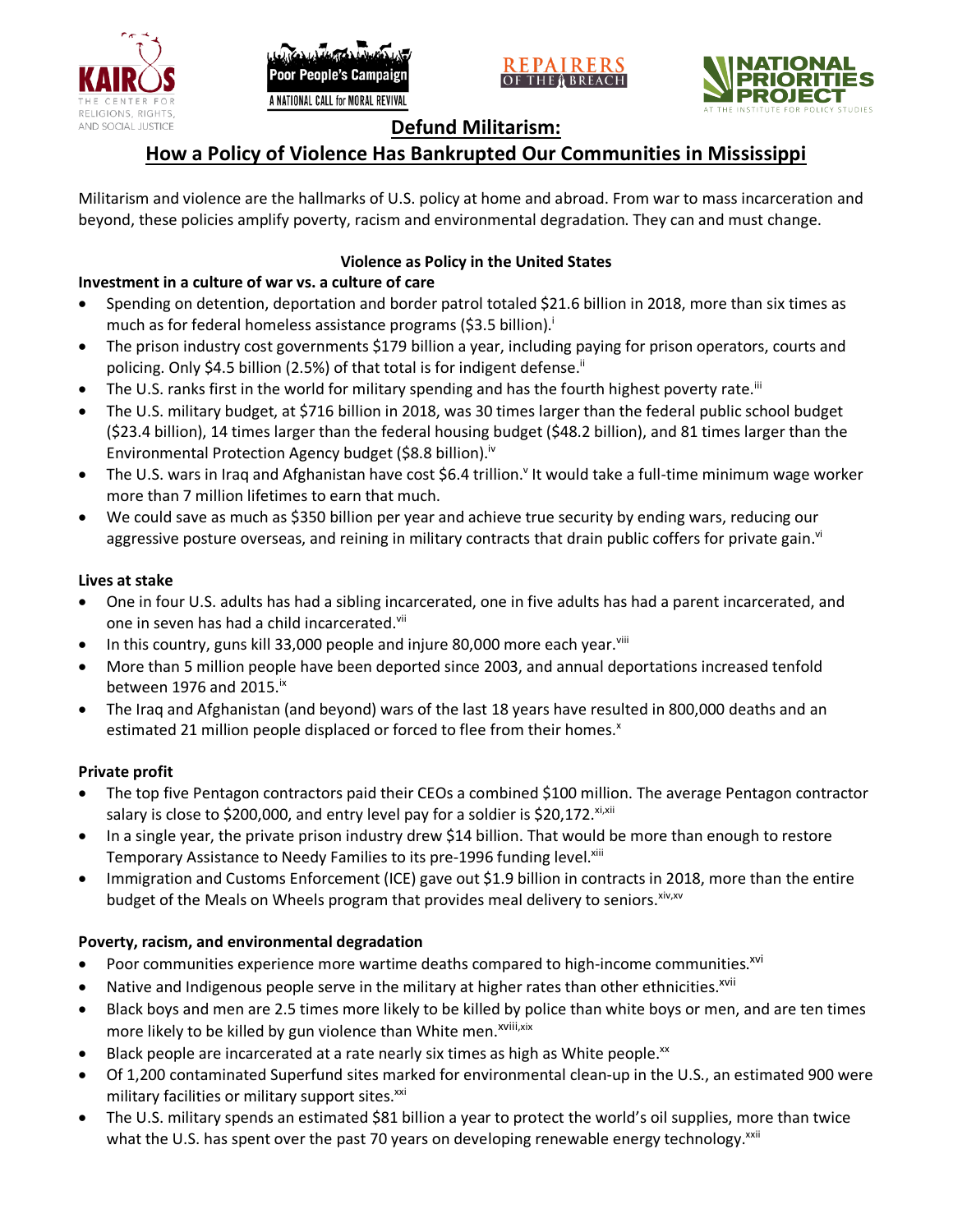





# **Defund Militarism:**

# **How a Policy of Violence Has Bankrupted Our Communities in Mississippi**

Militarism and violence are the hallmarks of U.S. policy at home and abroad. From war to mass incarceration and beyond, these policies amplify poverty, racism and environmental degradation. They can and must change.

## **Violence as Policy in the United States**

# **Investment in a culture of war vs. a culture of care**

- Spending on detention, deportation and border patrol totaled \$21.6 billion in 2018, more than six times as much as for federal homeless assistance programs (\$3.5 billion).<sup>i</sup>
- The prison industry cost governments \$179 billion a year, including paying for prison operators, courts and policing. Only \$4.5 billion (2.5%) of that total is for indigent defense.<sup>ii</sup>
- The U.S. ranks first in the world for military spending and has the fourth highest poverty rate.<sup>iii</sup>
- The U.S. military budget, at \$716 billion in 2018, was 30 times larger than the federal public school budget (\$23.4 billion), 14 times larger than the federal housing budget (\$48.2 billion), and 81 times larger than the Environmental Protection Agency budget (\$8.8 billion).<sup>iv</sup>
- The U.S. wars in Iraq and Afghanistan have cost \$6.4 trillion.<sup>v</sup> It would take a full-time minimum wage worker more than 7 million lifetimes to earn that much.
- We could save as much as \$350 billion per year and achieve true security by ending wars, reducing our aggressive posture overseas, and reining in military contracts that drain public coffers for private gain.<sup>vi</sup>

### **Lives at stake**

- One in four U.S. adults has had a sibling incarcerated, one in five adults has had a parent incarcerated, and one in seven has had a child incarcerated.vii
- In this country, guns kill 33,000 people and injure 80,000 more each year. $v_{\text{lin}}$
- More than 5 million people have been deported since 2003, and annual deportations increased tenfold between 1976 and 2015. $\mathrm{i}$ <sup>x</sup>
- The Iraq and Afghanistan (and beyond) wars of the last 18 years have resulted in 800,000 deaths and an estimated 21 million people displaced or forced to flee from their homes.<sup>x</sup>

#### **Private profit**

- The top five Pentagon contractors paid their CEOs a combined \$100 million. The average Pentagon contractor salary is close to \$200,000, and entry level pay for a soldier is \$20,172. xi,xii
- In a single year, the private prison industry drew \$14 billion. That would be more than enough to restore Temporary Assistance to Needy Families to its pre-1996 funding level.<sup>xiii</sup>
- Immigration and Customs Enforcement (ICE) gave out \$1.9 billion in contracts in 2018, more than the entire budget of the Meals on Wheels program that provides meal delivery to seniors. Xiv, XV

## **Poverty, racism, and environmental degradation**

- Poor communities experience more wartime deaths compared to high-income communities.<sup>xvi</sup>
- Native and Indigenous people serve in the military at higher rates than other ethnicities.<sup>xvii</sup>
- Black boys and men are 2.5 times more likely to be killed by police than white boys or men, and are ten times more likely to be killed by gun violence than White men.<sup>xviii,xix</sup>
- Black people are incarcerated at a rate nearly six times as high as White people.<sup>xx</sup>
- Of 1,200 contaminated Superfund sites marked for environmental clean-up in the U.S., an estimated 900 were military facilities or military support sites.<sup>xxi</sup>
- The U.S. military spends an estimated \$81 billion a year to protect the world's oil supplies, more than twice what the U.S. has spent over the past 70 years on developing renewable energy technology.<sup>xxii</sup>